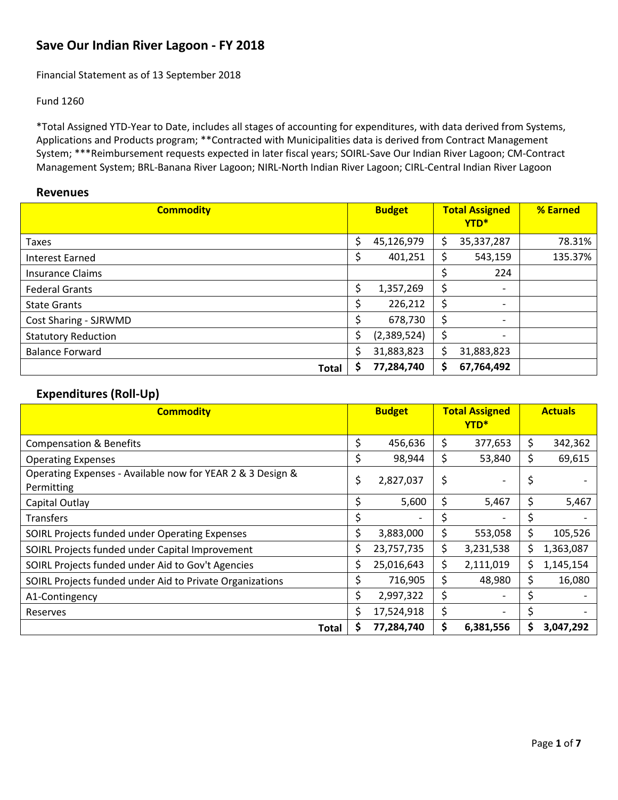## **Save Our Indian River Lagoon ‐ FY 2018**

Financial Statement as of 13 September 2018

#### Fund 1260

\*Total Assigned YTD‐Year to Date, includes all stages of accounting for expenditures, with data derived from Systems, Applications and Products program; \*\*Contracted with Municipalities data is derived from Contract Management System; \*\*\*Reimbursement requests expected in later fiscal years; SOIRL‐Save Our Indian River Lagoon; CM‐Contract Management System; BRL‐Banana River Lagoon; NIRL-North Indian River Lagoon; CIRL‐Central Indian River Lagoon

#### **Revenues**

| <b>Commodity</b>           |    | <b>Budget</b> |    | <b>Total Assigned</b><br>YTD* | % Earned |
|----------------------------|----|---------------|----|-------------------------------|----------|
| Taxes                      | \$ | 45,126,979    | \$ | 35,337,287                    | 78.31%   |
| <b>Interest Earned</b>     | \$ | 401,251       |    | 543,159                       | 135.37%  |
| <b>Insurance Claims</b>    |    |               |    | 224                           |          |
| <b>Federal Grants</b>      | \$ | 1,357,269     |    | $\overline{\phantom{0}}$      |          |
| <b>State Grants</b>        | S  | 226,212       | \$ | $\overline{\phantom{0}}$      |          |
| Cost Sharing - SJRWMD      |    | 678,730       | \$ | $\overline{\phantom{a}}$      |          |
| <b>Statutory Reduction</b> |    | (2,389,524)   |    | Ξ.                            |          |
| <b>Balance Forward</b>     |    | 31,883,823    |    | 31,883,823                    |          |
| <b>Total</b>               |    | 77,284,740    | S  | 67,764,492                    |          |

### **Expenditures (Roll‐Up)**

| <b>Commodity</b>                                                         |     | <b>Budget</b> |     | <b>Total Assigned</b><br>YTD <sup>*</sup> |    | <b>Actuals</b> |
|--------------------------------------------------------------------------|-----|---------------|-----|-------------------------------------------|----|----------------|
| <b>Compensation &amp; Benefits</b>                                       | \$  | 456,636       | \$  | 377,653                                   | \$ | 342,362        |
| <b>Operating Expenses</b>                                                | \$  | 98,944        | \$  | 53,840                                    | \$ | 69,615         |
| Operating Expenses - Available now for YEAR 2 & 3 Design &<br>Permitting | \$  | 2,827,037     | \$  |                                           | \$ |                |
| Capital Outlay                                                           | \$  | 5,600         | \$  | 5,467                                     | \$ | 5,467          |
| <b>Transfers</b>                                                         |     |               | \$  |                                           | \$ |                |
| SOIRL Projects funded under Operating Expenses                           | \$. | 3,883,000     | \$  | 553,058                                   | \$ | 105,526        |
| SOIRL Projects funded under Capital Improvement                          |     | 23,757,735    | \$. | 3,231,538                                 | \$ | 1,363,087      |
| SOIRL Projects funded under Aid to Gov't Agencies                        | S   | 25,016,643    | \$  | 2,111,019                                 | \$ | 1,145,154      |
| SOIRL Projects funded under Aid to Private Organizations                 |     | 716,905       | \$  | 48,980                                    | \$ | 16,080         |
| A1-Contingency                                                           | Ś.  | 2,997,322     | \$  |                                           | \$ |                |
| Reserves                                                                 |     | 17,524,918    | \$  |                                           | \$ |                |
| Total                                                                    |     | 77,284,740    | \$  | 6,381,556                                 | S  | 3,047,292      |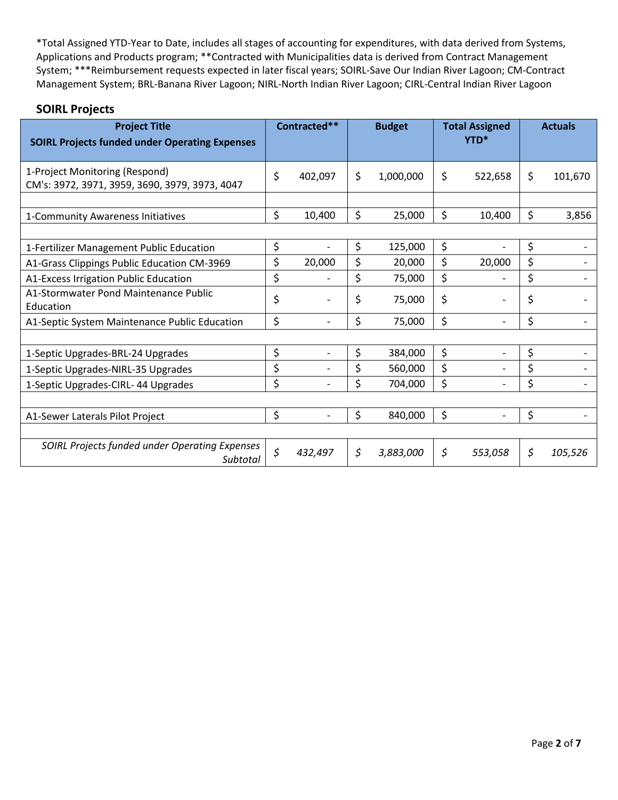| <b>Project Title</b><br><b>SOIRL Projects funded under Operating Expenses</b>    | Contracted**  | <b>Budget</b>   | <b>Total Assigned</b><br>YTD*  | <b>Actuals</b> |
|----------------------------------------------------------------------------------|---------------|-----------------|--------------------------------|----------------|
| 1-Project Monitoring (Respond)<br>CM's: 3972, 3971, 3959, 3690, 3979, 3973, 4047 | \$<br>402,097 | \$<br>1,000,000 | \$<br>522,658                  | \$<br>101,670  |
|                                                                                  |               |                 |                                |                |
| 1-Community Awareness Initiatives                                                | \$<br>10,400  | \$<br>25,000    | \$<br>10,400                   | \$<br>3,856    |
|                                                                                  |               |                 |                                |                |
| 1-Fertilizer Management Public Education                                         | \$            | \$<br>125,000   | \$                             | \$             |
| A1-Grass Clippings Public Education CM-3969                                      | \$<br>20,000  | \$<br>20,000    | \$<br>20,000                   | \$             |
| A1-Excess Irrigation Public Education                                            | \$            | \$<br>75,000    | \$<br>$\overline{\phantom{a}}$ | \$             |
| A1-Stormwater Pond Maintenance Public<br>Education                               | \$            | \$<br>75,000    | \$                             | \$             |
| A1-Septic System Maintenance Public Education                                    | \$            | \$<br>75,000    | \$                             | \$             |
|                                                                                  |               |                 |                                |                |
| 1-Septic Upgrades-BRL-24 Upgrades                                                | \$            | \$<br>384,000   | \$                             | \$             |
| 1-Septic Upgrades-NIRL-35 Upgrades                                               | \$            | \$<br>560,000   | \$                             | \$             |
| 1-Septic Upgrades-CIRL-44 Upgrades                                               | \$            | \$<br>704,000   | \$                             | \$             |
|                                                                                  |               |                 |                                |                |
| A1-Sewer Laterals Pilot Project                                                  | \$            | \$<br>840,000   | \$                             | \$             |
|                                                                                  |               |                 |                                |                |
| SOIRL Projects funded under Operating Expenses<br>Subtotal                       | \$<br>432,497 | \$<br>3,883,000 | \$<br>553,058                  | \$<br>105,526  |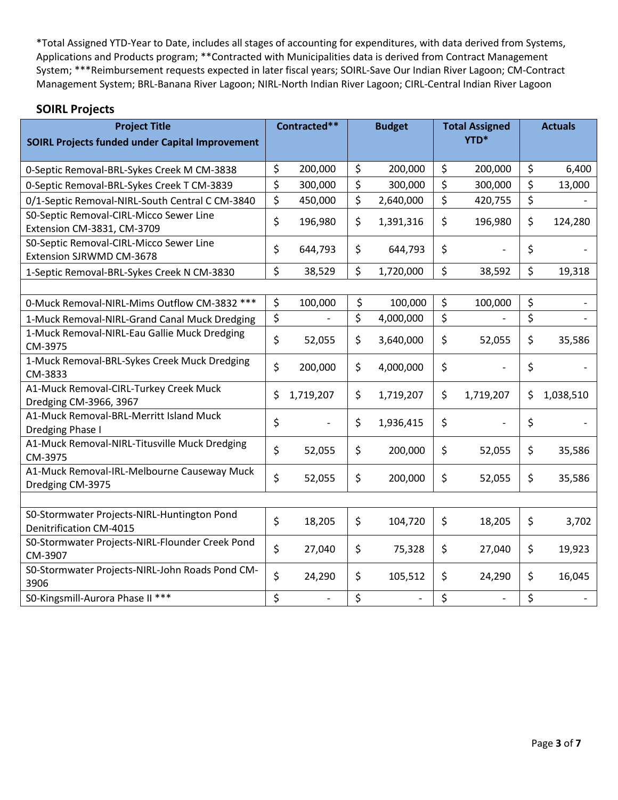| <b>Project Title</b>                                                          | Contracted**         | <b>Budget</b> |                | <b>Total Assigned</b> |           | <b>Actuals</b>  |
|-------------------------------------------------------------------------------|----------------------|---------------|----------------|-----------------------|-----------|-----------------|
| <b>SOIRL Projects funded under Capital Improvement</b>                        |                      |               |                |                       | YTD*      |                 |
| 0-Septic Removal-BRL-Sykes Creek M CM-3838                                    | \$<br>200,000        | \$            | 200,000        | \$                    | 200,000   | \$<br>6,400     |
| 0-Septic Removal-BRL-Sykes Creek T CM-3839                                    | \$<br>300,000        | \$            | 300,000        | \$                    | 300,000   | \$<br>13,000    |
| 0/1-Septic Removal-NIRL-South Central C CM-3840                               | \$<br>450,000        | \$            | 2,640,000      | \$                    | 420,755   | \$              |
| S0-Septic Removal-CIRL-Micco Sewer Line<br>Extension CM-3831, CM-3709         | \$<br>196,980        | \$            | 1,391,316      | \$                    | 196,980   | \$<br>124,280   |
| S0-Septic Removal-CIRL-Micco Sewer Line<br>Extension SJRWMD CM-3678           | \$<br>644,793        | \$            | 644,793        | \$                    |           | \$              |
| 1-Septic Removal-BRL-Sykes Creek N CM-3830                                    | \$<br>38,529         | \$            | 1,720,000      | \$                    | 38,592    | \$<br>19,318    |
|                                                                               |                      |               |                |                       |           |                 |
| 0-Muck Removal-NIRL-Mims Outflow CM-3832 ***                                  | \$<br>100,000        | \$            | 100,000        | \$                    | 100,000   | \$              |
| 1-Muck Removal-NIRL-Grand Canal Muck Dredging                                 | \$                   | \$            | 4,000,000      | \$                    |           | \$              |
| 1-Muck Removal-NIRL-Eau Gallie Muck Dredging<br>CM-3975                       | \$<br>52,055         | \$            | 3,640,000      | \$                    | 52,055    | \$<br>35,586    |
| 1-Muck Removal-BRL-Sykes Creek Muck Dredging<br>CM-3833                       | \$<br>200,000        | \$            | 4,000,000      | \$                    |           | \$              |
| A1-Muck Removal-CIRL-Turkey Creek Muck<br>Dredging CM-3966, 3967              | \$<br>1,719,207      | \$            | 1,719,207      | \$                    | 1,719,207 | \$<br>1,038,510 |
| A1-Muck Removal-BRL-Merritt Island Muck<br>Dredging Phase I                   | \$                   | \$            | 1,936,415      | \$                    |           | \$              |
| A1-Muck Removal-NIRL-Titusville Muck Dredging<br>CM-3975                      | \$<br>52,055         | \$            | 200,000        | \$                    | 52,055    | \$<br>35,586    |
| A1-Muck Removal-IRL-Melbourne Causeway Muck<br>Dredging CM-3975               | \$<br>52,055         | \$            | 200,000        | \$                    | 52,055    | \$<br>35,586    |
|                                                                               |                      |               |                |                       |           |                 |
| S0-Stormwater Projects-NIRL-Huntington Pond<br><b>Denitrification CM-4015</b> | \$<br>18,205         | \$            | 104,720        | \$                    | 18,205    | \$<br>3,702     |
| S0-Stormwater Projects-NIRL-Flounder Creek Pond<br>CM-3907                    | \$<br>27,040         | \$            | 75,328         | \$                    | 27,040    | \$<br>19,923    |
| S0-Stormwater Projects-NIRL-John Roads Pond CM-<br>3906                       | \$<br>24,290         | \$            | 105,512        | \$                    | 24,290    | \$<br>16,045    |
| S0-Kingsmill-Aurora Phase II ***                                              | \$<br>$\blacksquare$ | \$            | $\blacksquare$ | \$                    |           | \$              |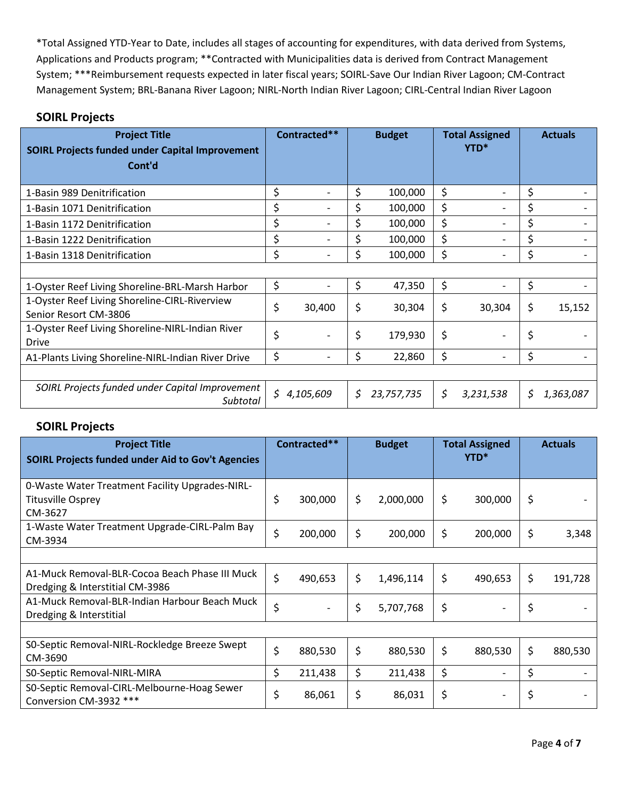#### **SOIRL Projects**

| <b>Project Title</b><br><b>SOIRL Projects funded under Capital Improvement</b><br>Cont'd | Contracted**    |     | <b>Budget</b> | <b>Total Assigned</b><br>YTD* | <b>Actuals</b>  |
|------------------------------------------------------------------------------------------|-----------------|-----|---------------|-------------------------------|-----------------|
| 1-Basin 989 Denitrification                                                              | \$              | \$  | 100,000       | \$                            | \$              |
| 1-Basin 1071 Denitrification                                                             |                 | \$  | 100,000       | \$                            | \$              |
| 1-Basin 1172 Denitrification                                                             | \$              | \$  | 100,000       | \$                            | \$              |
| 1-Basin 1222 Denitrification                                                             | \$              |     | 100,000       | \$                            | \$              |
| 1-Basin 1318 Denitrification                                                             | \$              | \$  | 100,000       | \$                            | \$              |
|                                                                                          |                 |     |               |                               |                 |
| 1-Oyster Reef Living Shoreline-BRL-Marsh Harbor                                          | \$              | \$  | 47,350        | \$                            | \$              |
| 1-Oyster Reef Living Shoreline-CIRL-Riverview<br>Senior Resort CM-3806                   | \$<br>30,400    | \$  | 30,304        | \$<br>30,304                  | \$<br>15,152    |
| 1-Oyster Reef Living Shoreline-NIRL-Indian River<br><b>Drive</b>                         | \$              | \$  | 179,930       | \$                            | \$              |
| A1-Plants Living Shoreline-NIRL-Indian River Drive                                       | \$              | \$  | 22,860        | \$                            | \$              |
|                                                                                          |                 |     |               |                               |                 |
| SOIRL Projects funded under Capital Improvement<br>Subtotal                              | \$<br>4,105,609 | \$. | 23,757,735    | \$<br>3,231,538               | \$<br>1,363,087 |

| <b>Project Title</b><br><b>SOIRL Projects funded under Aid to Gov't Agencies</b>       | Contracted**  | <b>Budget</b>   | <b>Total Assigned</b><br>YTD*  | <b>Actuals</b> |
|----------------------------------------------------------------------------------------|---------------|-----------------|--------------------------------|----------------|
| 0-Waste Water Treatment Facility Upgrades-NIRL-<br><b>Titusville Osprey</b><br>CM-3627 | \$<br>300,000 | \$<br>2,000,000 | \$<br>300,000                  | \$             |
| 1-Waste Water Treatment Upgrade-CIRL-Palm Bay<br>CM-3934                               | \$<br>200,000 | \$<br>200,000   | \$<br>200,000                  | \$<br>3,348    |
|                                                                                        |               |                 |                                |                |
| A1-Muck Removal-BLR-Cocoa Beach Phase III Muck<br>Dredging & Interstitial CM-3986      | \$<br>490,653 | \$<br>1,496,114 | \$<br>490,653                  | \$<br>191,728  |
| A1-Muck Removal-BLR-Indian Harbour Beach Muck<br>Dredging & Interstitial               | \$            | \$<br>5,707,768 | \$                             | \$             |
|                                                                                        |               |                 |                                |                |
| SO-Septic Removal-NIRL-Rockledge Breeze Swept<br>CM-3690                               | \$<br>880,530 | \$<br>880,530   | \$<br>880,530                  | \$<br>880,530  |
| S0-Septic Removal-NIRL-MIRA                                                            | \$<br>211,438 | \$<br>211,438   | \$<br>-                        | \$             |
| S0-Septic Removal-CIRL-Melbourne-Hoag Sewer<br>Conversion CM-3932 ***                  | 86,061        | \$<br>86,031    | \$<br>$\overline{\phantom{a}}$ | \$             |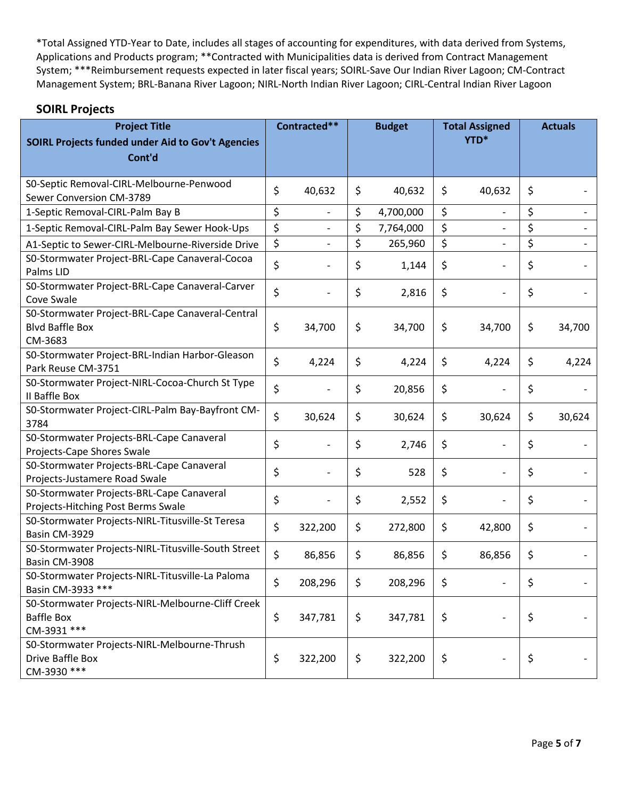| <b>Project Title</b><br><b>SOIRL Projects funded under Aid to Gov't Agencies</b><br>Cont'd | Contracted**                   | <b>Budget</b> |           |    |                          | <b>Total Assigned</b><br>YTD* |        |  | <b>Actuals</b> |  |
|--------------------------------------------------------------------------------------------|--------------------------------|---------------|-----------|----|--------------------------|-------------------------------|--------|--|----------------|--|
|                                                                                            |                                |               |           |    |                          |                               |        |  |                |  |
| S0-Septic Removal-CIRL-Melbourne-Penwood<br>Sewer Conversion CM-3789                       | \$<br>40,632                   | \$            | 40,632    | \$ | 40,632                   | \$                            |        |  |                |  |
| 1-Septic Removal-CIRL-Palm Bay B                                                           | \$<br>$\overline{\phantom{a}}$ | \$            | 4,700,000 | \$ | $\overline{\phantom{a}}$ | \$                            |        |  |                |  |
| 1-Septic Removal-CIRL-Palm Bay Sewer Hook-Ups                                              | \$                             | \$            | 7,764,000 | \$ |                          | \$                            |        |  |                |  |
| A1-Septic to Sewer-CIRL-Melbourne-Riverside Drive                                          | \$<br>$\overline{\phantom{0}}$ | \$            | 265,960   | \$ | $\overline{\phantom{0}}$ | \$                            |        |  |                |  |
| S0-Stormwater Project-BRL-Cape Canaveral-Cocoa<br>Palms LID                                | \$                             | \$            | 1,144     | \$ |                          | \$                            |        |  |                |  |
| S0-Stormwater Project-BRL-Cape Canaveral-Carver<br>Cove Swale                              | \$                             | \$            | 2,816     | \$ |                          | \$                            |        |  |                |  |
| S0-Stormwater Project-BRL-Cape Canaveral-Central<br><b>Blvd Baffle Box</b><br>CM-3683      | \$<br>34,700                   | \$            | 34,700    | \$ | 34,700                   | \$                            | 34,700 |  |                |  |
| S0-Stormwater Project-BRL-Indian Harbor-Gleason<br>Park Reuse CM-3751                      | \$<br>4,224                    | \$            | 4,224     | \$ | 4,224                    | \$                            | 4,224  |  |                |  |
| S0-Stormwater Project-NIRL-Cocoa-Church St Type<br>II Baffle Box                           | \$                             | \$            | 20,856    | \$ |                          | \$                            |        |  |                |  |
| S0-Stormwater Project-CIRL-Palm Bay-Bayfront CM-<br>3784                                   | \$<br>30,624                   | \$            | 30,624    | \$ | 30,624                   | \$                            | 30,624 |  |                |  |
| S0-Stormwater Projects-BRL-Cape Canaveral<br>Projects-Cape Shores Swale                    | \$                             | \$            | 2,746     | \$ |                          | \$                            |        |  |                |  |
| S0-Stormwater Projects-BRL-Cape Canaveral<br>Projects-Justamere Road Swale                 | \$                             | \$            | 528       | \$ |                          | \$                            |        |  |                |  |
| S0-Stormwater Projects-BRL-Cape Canaveral<br>Projects-Hitching Post Berms Swale            | \$                             | \$            | 2,552     | \$ |                          | \$                            |        |  |                |  |
| S0-Stormwater Projects-NIRL-Titusville-St Teresa<br>Basin CM-3929                          | \$<br>322,200                  | \$            | 272,800   | \$ | 42,800                   | \$                            |        |  |                |  |
| S0-Stormwater Projects-NIRL-Titusville-South Street<br>Basin CM-3908                       | \$<br>86,856                   | \$            | 86,856    | \$ | 86,856                   | \$                            |        |  |                |  |
| S0-Stormwater Projects-NIRL-Titusville-La Paloma<br>Basin CM-3933 ***                      | \$<br>208,296                  | \$            | 208,296   | \$ |                          | \$                            |        |  |                |  |
| S0-Stormwater Projects-NIRL-Melbourne-Cliff Creek<br><b>Baffle Box</b><br>CM-3931 ***      | \$<br>347,781                  | \$            | 347,781   | \$ |                          | \$                            |        |  |                |  |
| S0-Stormwater Projects-NIRL-Melbourne-Thrush<br>Drive Baffle Box<br>CM-3930 ***            | \$<br>322,200                  | \$            | 322,200   | \$ |                          | \$                            |        |  |                |  |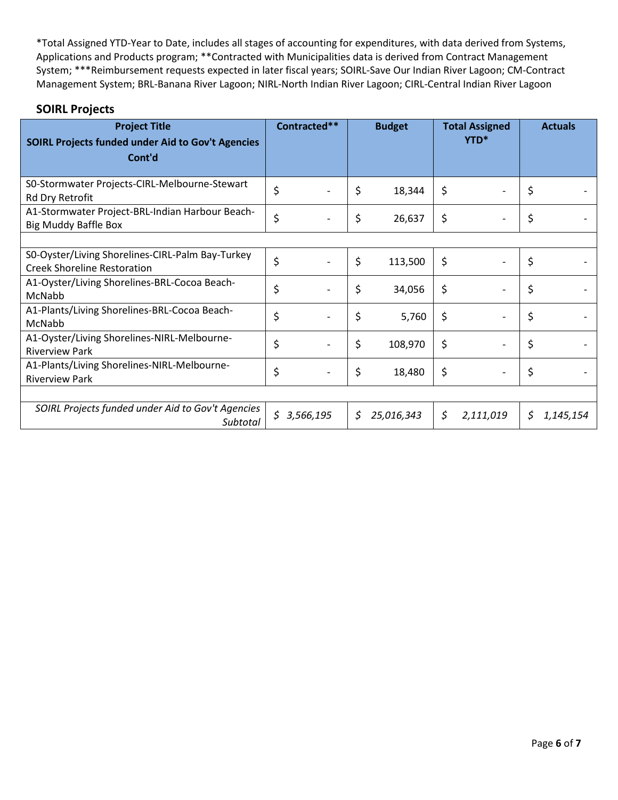| <b>Project Title</b><br><b>SOIRL Projects funded under Aid to Gov't Agencies</b><br>Cont'd | Contracted**    |    | <b>Budget</b> | <b>Total Assigned</b><br>YTD <sup>*</sup> |    | <b>Actuals</b> |
|--------------------------------------------------------------------------------------------|-----------------|----|---------------|-------------------------------------------|----|----------------|
| S0-Stormwater Projects-CIRL-Melbourne-Stewart<br>Rd Dry Retrofit                           | \$              | \$ | 18,344        | \$                                        | \$ |                |
| A1-Stormwater Project-BRL-Indian Harbour Beach-<br><b>Big Muddy Baffle Box</b>             | \$              | \$ | 26,637        | \$                                        | \$ |                |
|                                                                                            |                 |    |               |                                           |    |                |
| S0-Oyster/Living Shorelines-CIRL-Palm Bay-Turkey<br><b>Creek Shoreline Restoration</b>     | \$              | \$ | 113,500       | \$                                        | \$ |                |
| A1-Oyster/Living Shorelines-BRL-Cocoa Beach-<br>McNabb                                     | \$              | \$ | 34,056        | \$                                        | \$ |                |
| A1-Plants/Living Shorelines-BRL-Cocoa Beach-<br>McNabb                                     | \$              | \$ | 5,760         | \$                                        | \$ |                |
| A1-Oyster/Living Shorelines-NIRL-Melbourne-<br><b>Riverview Park</b>                       | \$              | \$ | 108,970       | \$                                        | \$ |                |
| A1-Plants/Living Shorelines-NIRL-Melbourne-<br><b>Riverview Park</b>                       | \$              | \$ | 18,480        | \$                                        | \$ |                |
|                                                                                            |                 |    |               |                                           |    |                |
| SOIRL Projects funded under Aid to Gov't Agencies<br>Subtotal                              | \$<br>3,566,195 | S  | 25,016,343    | \$<br>2,111,019                           | S. | 1,145,154      |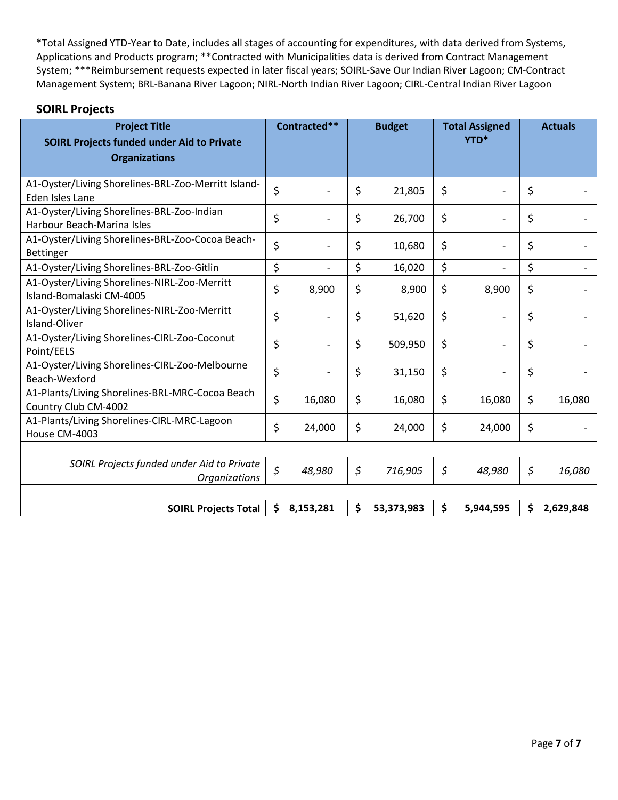| <b>Project Title</b><br><b>SOIRL Projects funded under Aid to Private</b><br><b>Organizations</b> | Contracted**    | <b>Budget</b>    | <b>Total Assigned</b><br>YTD* | <b>Actuals</b>  |
|---------------------------------------------------------------------------------------------------|-----------------|------------------|-------------------------------|-----------------|
| A1-Oyster/Living Shorelines-BRL-Zoo-Merritt Island-<br>Eden Isles Lane                            | \$              | \$<br>21,805     | \$                            | \$              |
| A1-Oyster/Living Shorelines-BRL-Zoo-Indian<br>Harbour Beach-Marina Isles                          | \$              | \$<br>26,700     | \$                            | \$              |
| A1-Oyster/Living Shorelines-BRL-Zoo-Cocoa Beach-<br>Bettinger                                     | \$              | \$<br>10,680     | \$                            | \$              |
| A1-Oyster/Living Shorelines-BRL-Zoo-Gitlin                                                        | \$              | \$<br>16,020     | \$                            | \$              |
| A1-Oyster/Living Shorelines-NIRL-Zoo-Merritt<br>Island-Bomalaski CM-4005                          | \$<br>8,900     | \$<br>8,900      | \$<br>8,900                   | \$              |
| A1-Oyster/Living Shorelines-NIRL-Zoo-Merritt<br>Island-Oliver                                     | \$              | \$<br>51,620     | \$                            | \$              |
| A1-Oyster/Living Shorelines-CIRL-Zoo-Coconut<br>Point/EELS                                        | \$              | \$<br>509,950    | \$                            | \$              |
| A1-Oyster/Living Shorelines-CIRL-Zoo-Melbourne<br>Beach-Wexford                                   | \$              | \$<br>31,150     | \$                            | \$              |
| A1-Plants/Living Shorelines-BRL-MRC-Cocoa Beach<br>Country Club CM-4002                           | \$<br>16,080    | \$<br>16,080     | \$<br>16,080                  | \$<br>16,080    |
| A1-Plants/Living Shorelines-CIRL-MRC-Lagoon<br>House CM-4003                                      | \$<br>24,000    | \$<br>24,000     | \$<br>24,000                  | \$              |
|                                                                                                   |                 |                  |                               |                 |
| SOIRL Projects funded under Aid to Private<br><b>Organizations</b>                                | \$<br>48,980    | \$<br>716,905    | \$<br>48,980                  | \$<br>16,080    |
|                                                                                                   |                 |                  |                               |                 |
| <b>SOIRL Projects Total</b>                                                                       | \$<br>8,153,281 | \$<br>53,373,983 | \$<br>5,944,595               | \$<br>2,629,848 |